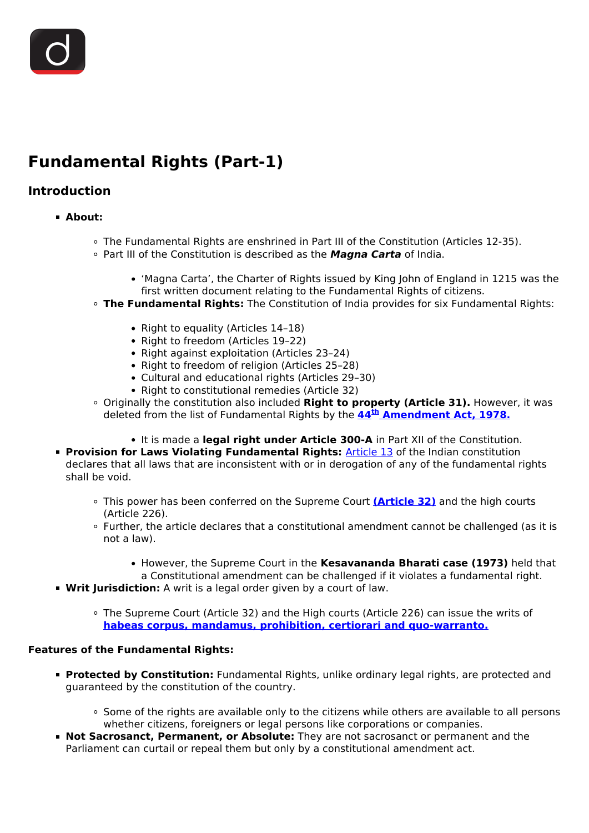# **Fundamental Rights (Part-1)**

# **Introduction**

- **About:**
	- The Fundamental Rights are enshrined in Part III of the Constitution (Articles 12-35).
	- Part III of the Constitution is described as the *Magna Carta* of India.
		- 'Magna Carta', the Charter of Rights issued by King John of England in 1215 was the first written document relating to the Fundamental Rights of citizens.
	- **The Fundamental Rights:** The Constitution of India provides for six Fundamental Rights:
		- Right to equality (Articles 14-18)
		- Right to freedom (Articles 19-22)
		- Right against exploitation (Articles 23-24)
		- Right to freedom of religion (Articles 25-28)
		- Cultural and educational rights (Articles 29–30)
		- Right to constitutional remedies (Article 32)
	- Originally the constitution also included **Right to property (Article 31).** However, it was deleted from the list of Fundamental Rights by the **[44](/to-the-points/Paper2/major-constitutional-amendments-part-2)[th](/to-the-points/Paper2/major-constitutional-amendments-part-2) [Amendment Act, 1978.](/to-the-points/Paper2/major-constitutional-amendments-part-2)**
		- It is made a **legal right under Article 300-A** in Part XII of the Constitution.
- **Provision for Laws Violating Fundamental Rights: [Article 13](/daily-updates/daily-news-analysis/basic-structure-of-constitution#:~:text=Article%2013(2)%20reads%2C,of%20contravention%2C%20be%20void.%22) of the Indian constitution** declares that all laws that are inconsistent with or in derogation of any of the fundamental rights shall be void.
	- This power has been conferred on the Supreme Court **[\(Article 32\)](/daily-updates/daily-news-analysis/article-32-of-the-constitution#:~:text=Article%2032%20of%20the%20Constitution%20(Right%20to%20Constitutional%20Remedies)%3A,rights%20recognised%20by%20the%20Constitution.)** and the high courts (Article 226).
	- Further, the article declares that a constitutional amendment cannot be challenged (as it is not a law).
		- **However, the Supreme Court in the Kesavananda Bharati case (1973)** held that a Constitutional amendment can be challenged if it violates a fundamental right.
- **Writ Jurisdiction:** A writ is a legal order given by a court of law.
	- The Supreme Court (Article 32) and the High courts (Article 226) can issue the writs of **[habeas corpus, mandamus, prohibition, certiorari and quo-warranto.](/daily-updates/daily-news-editorials/constitutional-rights-judicial-review-and-parliamentary-democracy)**

### **Features of the Fundamental Rights:**

- **Protected by Constitution:** Fundamental Rights, unlike ordinary legal rights, are protected and guaranteed by the constitution of the country.
	- . Some of the rights are available only to the citizens while others are available to all persons whether citizens, foreigners or legal persons like corporations or companies.
- **Not Sacrosanct, Permanent, or Absolute:** They are not sacrosanct or permanent and the Parliament can curtail or repeal them but only by a constitutional amendment act.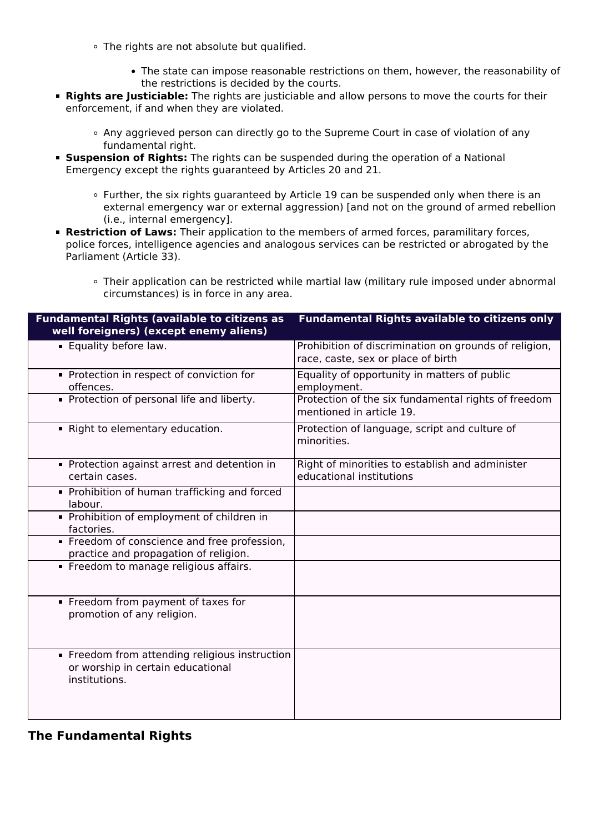- The rights are not absolute but qualified.
	- The state can impose reasonable restrictions on them, however, the reasonability of the restrictions is decided by the courts.
- **Rights are Justiciable:** The rights are justiciable and allow persons to move the courts for their enforcement, if and when they are violated.
	- Any aggrieved person can directly go to the Supreme Court in case of violation of any fundamental right.
- **Suspension of Rights:** The rights can be suspended during the operation of a National Emergency except the rights guaranteed by Articles 20 and 21.
	- Further, the six rights guaranteed by Article 19 can be suspended only when there is an external emergency war or external aggression) [and not on the ground of armed rebellion (i.e., internal emergency].
- **Restriction of Laws:** Their application to the members of armed forces, paramilitary forces, police forces, intelligence agencies and analogous services can be restricted or abrogated by the Parliament (Article 33).
	- Their application can be restricted while martial law (military rule imposed under abnormal circumstances) is in force in any area.

| <b>Fundamental Rights (available to citizens as</b><br>well foreigners) (except enemy aliens)        | <b>Fundamental Rights available to citizens only</b>                                        |
|------------------------------------------------------------------------------------------------------|---------------------------------------------------------------------------------------------|
| <b>Equality before law.</b>                                                                          | Prohibition of discrimination on grounds of religion,<br>race, caste, sex or place of birth |
| Protection in respect of conviction for<br>offences.                                                 | Equality of opportunity in matters of public<br>employment.                                 |
| Protection of personal life and liberty.                                                             | Protection of the six fundamental rights of freedom<br>mentioned in article 19.             |
| Right to elementary education.                                                                       | Protection of language, script and culture of<br>minorities.                                |
| Protection against arrest and detention in<br>certain cases.                                         | Right of minorities to establish and administer<br>educational institutions                 |
| • Prohibition of human trafficking and forced<br>labour.                                             |                                                                                             |
| • Prohibition of employment of children in<br>factories.                                             |                                                                                             |
| Freedom of conscience and free profession,<br>practice and propagation of religion.                  |                                                                                             |
| Freedom to manage religious affairs.                                                                 |                                                                                             |
| Freedom from payment of taxes for<br>promotion of any religion.                                      |                                                                                             |
| • Freedom from attending religious instruction<br>or worship in certain educational<br>institutions. |                                                                                             |

## **The Fundamental Rights**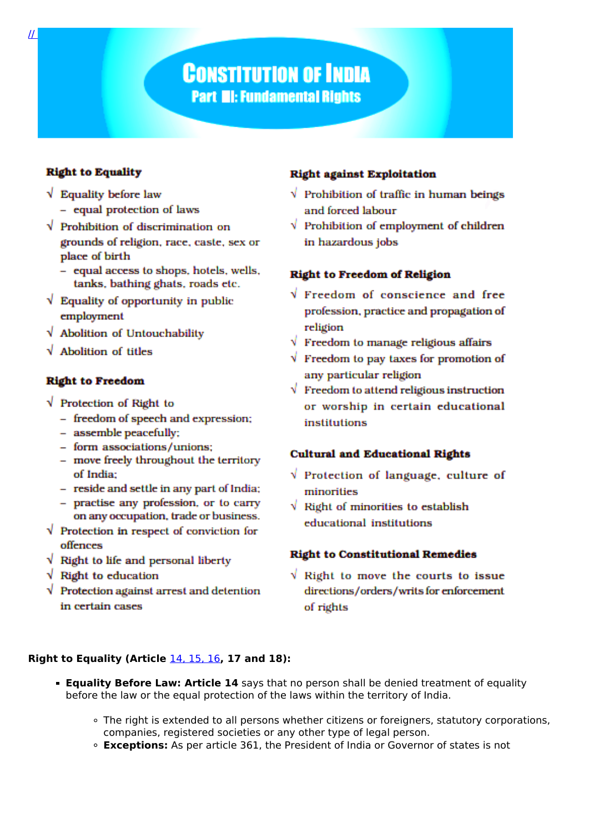# **CONSTITUTION OF INDIA Part III: Fundamental Rights**

## **Right to Equality**

- $\sqrt{\phantom{a}}$  Equality before law
	- equal protection of laws
- $\sqrt{\ }$  Prohibition of discrimination on grounds of religion, race, caste, sex or place of birth
	- equal access to shops, hotels, wells, tanks, bathing ghats, roads etc.
- $\sqrt{\ }$  Equality of opportunity in public employment
- $\sqrt{\phantom{a}}$  Abolition of Untouchability
- $\sqrt{\phantom{a}}$  Abolition of titles

#### **Right to Freedom**

- V Protection of Right to
	- freedom of speech and expression;
	- assemble peacefully;
	- form associations/unions:
	- move freely throughout the territory of India:
	- reside and settle in any part of India;
	- practise any profession, or to carry on any occupation, trade or business.
- $\sqrt{\ }$  Protection in respect of conviction for offences
- $\sqrt{\phantom{a}}$  Right to life and personal liberty
- $\sqrt{\phantom{a}}$  Right to education
- $\sqrt{\phantom{a}}$  Protection against arrest and detention in certain cases

### **Right against Exploitation**

- $\sqrt{\ }$  Prohibition of traffic in human beings and forced labour
- $\sqrt{\ }$  Prohibition of employment of children in hazardous jobs

#### **Right to Freedom of Religion**

- $\sqrt{r}$  Freedom of conscience and free profession, practice and propagation of religion
- $\sqrt{\ }$  Freedom to manage religious affairs
- $\sqrt{\ }$  Freedom to pay taxes for promotion of any particular religion
- $\sqrt{\phantom{a}}$  Freedom to attend religious instruction or worship in certain educational institutions

### **Cultural and Educational Rights**

- $\sqrt{ }$  Protection of language, culture of minorities
- $\sqrt{\phantom{a}}$  Right of minorities to establish educational institutions

### **Right to Constitutional Remedies**

 $\sqrt{ }$  Right to move the courts to issue directions/orders/writs for enforcement of rights

#### Right to Equality (Article  $14, 15, 16$ , 17 and 18):

- **Equality Before Law: Article 14** says that no person shall be denied treatment of equality before the law or the equal protection of the laws within the territory of India.
	- The right is extended to all persons whether citizens or foreigners, statutory corporations, companies, registered societies or any other type of legal person.
	- **Exceptions:** As per article 361, the President of India or Governor of states is not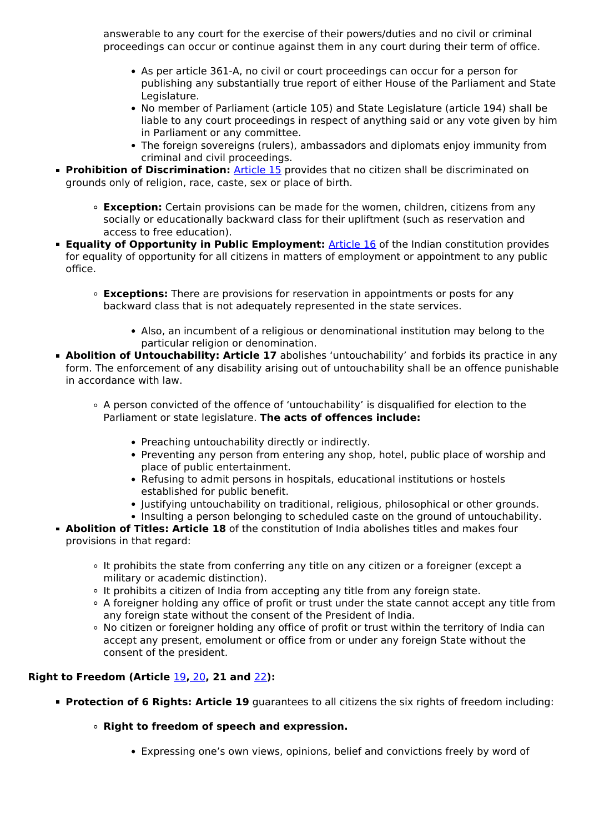answerable to any court for the exercise of their powers/duties and no civil or criminal proceedings can occur or continue against them in any court during their term of office.

- As per article 361-A, no civil or court proceedings can occur for a person for publishing any substantially true report of either House of the Parliament and State Legislature.
- No member of Parliament (article 105) and State Legislature (article 194) shall be liable to any court proceedings in respect of anything said or any vote given by him in Parliament or any committee.
- The foreign sovereigns (rulers), ambassadors and diplomats enjoy immunity from criminal and civil proceedings.
- **Prohibition of Discrimination:** [Article 15](/daily-updates/daily-news-analysis/lok-sabha-passes-the-constitution-124th-amendment-bill-2019) provides that no citizen shall be discriminated on grounds only of religion, race, caste, sex or place of birth.
	- **Exception:** Certain provisions can be made for the women, children, citizens from any socially or educationally backward class for their upliftment (such as reservation and access to free education).
- **Equality of Opportunity in Public Employment: [Article 16](/daily-updates/daily-news-analysis/lok-sabha-passes-the-constitution-124th-amendment-bill-2019)** of the Indian constitution provides for equality of opportunity for all citizens in matters of employment or appointment to any public office.
	- **Exceptions:** There are provisions for reservation in appointments or posts for any backward class that is not adequately represented in the state services.
		- Also, an incumbent of a religious or denominational institution may belong to the particular religion or denomination.
- **Abolition of Untouchability: Article 17** abolishes 'untouchability' and forbids its practice in any form. The enforcement of any disability arising out of untouchability shall be an offence punishable in accordance with law.
	- A person convicted of the offence of 'untouchability' is disqualified for election to the Parliament or state legislature. **The acts of offences include:**
		- Preaching untouchability directly or indirectly.
		- Preventing any person from entering any shop, hotel, public place of worship and place of public entertainment.
		- Refusing to admit persons in hospitals, educational institutions or hostels established for public benefit.
		- Iustifying untouchability on traditional, religious, philosophical or other grounds.
		- Insulting a person belonging to scheduled caste on the ground of untouchability.
- **Abolition of Titles: Article 18** of the constitution of India abolishes titles and makes four provisions in that regard:
	- It prohibits the state from conferring any title on any citizen or a foreigner (except a military or academic distinction).
	- It prohibits a citizen of India from accepting any title from any foreign state.
	- A foreigner holding any office of profit or trust under the state cannot accept any title from any foreign state without the consent of the President of India.
	- No citizen or foreigner holding any office of profit or trust within the territory of India can accept any present, emolument or office from or under any foreign State without the consent of the president.

### **Right to Freedom (Article** [19](/daily-updates/daily-news-editorials/rights-to-freedom)**,** [20](/daily-updates/daily-news-analysis/no-double-jeopardy-bar-if-there-was-no-trial)**, 21 and** [22](/current-affairs-news-analysis-editorials/news-analysis/17-09-2019#:~:text=Article%2022(2)%20states%20that,the%20authority%20of%20a%20magistrate.)**):**

- **Protection of 6 Rights: Article 19** quarantees to all citizens the six rights of freedom including:
	- **Right to freedom of speech and expression.**
		- Expressing one's own views, opinions, belief and convictions freely by word of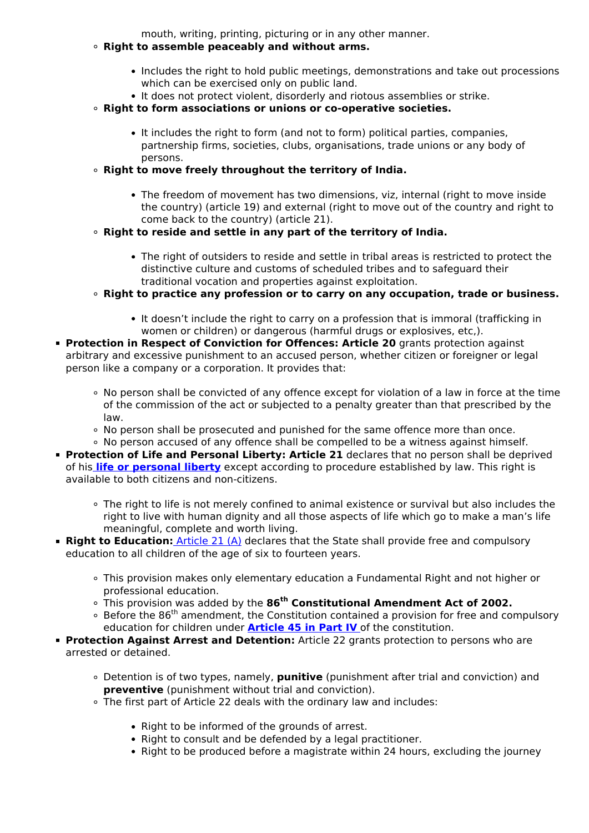mouth, writing, printing, picturing or in any other manner.

- **Right to assemble peaceably and without arms.**
	- Includes the right to hold public meetings, demonstrations and take out processions which can be exercised only on public land.
	- It does not protect violent, disorderly and riotous assemblies or strike.
- **Right to form associations or unions or co-operative societies.**
	- It includes the right to form (and not to form) political parties, companies, partnership firms, societies, clubs, organisations, trade unions or any body of persons.
- **Right to move freely throughout the territory of India.**
	- The freedom of movement has two dimensions, viz, internal (right to move inside the country) (article 19) and external (right to move out of the country and right to come back to the country) (article 21).
- **Right to reside and settle in any part of the territory of India.**
	- The right of outsiders to reside and settle in tribal areas is restricted to protect the distinctive culture and customs of scheduled tribes and to safeguard their traditional vocation and properties against exploitation.
- **Right to practice any profession or to carry on any occupation, trade or business.**
	- It doesn't include the right to carry on a profession that is immoral (trafficking in women or children) or dangerous (harmful drugs or explosives, etc,).
- **Protection in Respect of Conviction for Offences: Article 20** grants protection against arbitrary and excessive punishment to an accused person, whether citizen or foreigner or legal person like a company or a corporation. It provides that:
	- No person shall be convicted of any offence except for violation of a law in force at the time of the commission of the act or subjected to a penalty greater than that prescribed by the law.
	- No person shall be prosecuted and punished for the same offence more than once.
	- No person accused of any offence shall be compelled to be a witness against himself.
- **Protection of Life and Personal Liberty: Article 21** declares that no person shall be deprived of his **[life or personal liberty](/daily-updates/daily-news-analysis/fundamental-rights-and-oci-cardholders#:~:text=Article%2021%3A%20It%20declares%20that,both%20citizens%20and%20non%2Dcitizens.)** except according to procedure established by law. This right is available to both citizens and non-citizens.
	- The right to life is not merely confined to animal existence or survival but also includes the right to live with human dignity and all those aspects of life which go to make a man's life meaningful, complete and worth living.
- **Right to Education:** [Article 21 \(A\)](/daily-updates/daily-news-analysis/right-to-education-2#:~:text=The%2086th%20Constitutional%20Amendment,Right%20to%20Education%20Act%202009.) declares that the State shall provide free and compulsory education to all children of the age of six to fourteen years.
	- This provision makes only elementary education a Fundamental Right and not higher or professional education.
	- This provision was added by the **86th Constitutional Amendment Act of 2002.**
	- $\circ$  Before the 86<sup>th</sup> amendment, the Constitution contained a provision for free and compulsory education for children under **[Article 45 in Part IV](/to-the-points/Paper2/right-to-education#:~:text=Originally%20Part%20IV%20of%20Indian,as%20equitable%20and%20accessible%20education.&text=The%2086th%20amendment%20to,part%2DIII%20of%20the%20Constitution.)** of the constitution.
- **Protection Against Arrest and Detention:** Article 22 grants protection to persons who are arrested or detained.
	- Detention is of two types, namely, **punitive** (punishment after trial and conviction) and **preventive** (punishment without trial and conviction).
	- The first part of Article 22 deals with the ordinary law and includes:
		- Right to be informed of the grounds of arrest.
		- Right to consult and be defended by a legal practitioner.
		- Right to be produced before a magistrate within 24 hours, excluding the journey